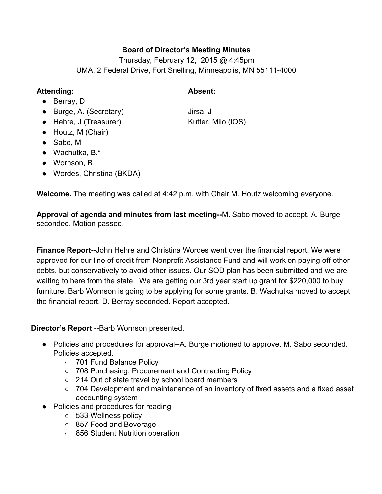# **Board of Director's Meeting Minutes**

Thursday, February 12, 2015 @ 4:45pm UMA, 2 Federal Drive, Fort Snelling, Minneapolis, MN 55111-4000

### **Attending: Absent:**

- Berray, D
- Burge, A. (Secretary) Jirsa, J
- Hehre, J (Treasurer) Kutter, Milo (IQS)
- Houtz, M (Chair)
- Sabo, M
- $\bullet$  Wachutka, B. $\ast$
- Wornson, B
- Wordes, Christina (BKDA)

**Welcome.**The meeting was called at 4:42 p.m. with Chair M. Houtz welcoming everyone.

**Approval of agenda and minutes from last meeting--M. Sabo moved to accept, A. Burge** seconded. Motion passed.

**Finance Report--John Hehre and Christina Wordes went over the financial report. We were** approved for our line of credit from Nonprofit Assistance Fund and will work on paying off other debts, but conservatively to avoid other issues. Our SOD plan has been submitted and we are waiting to here from the state. We are getting our 3rd year start up grant for \$220,000 to buy furniture. Barb Wornson is going to be applying for some grants. B. Wachutka moved to accept the financial report, D. Berray seconded. Report accepted.

**Director's Report** --Barb Wornson presented.

- Policies and procedures for approval--A. Burge motioned to approve. M. Sabo seconded. Policies accepted.
	- 701 Fund Balance Policy
	- 708 Purchasing, Procurement and Contracting Policy
	- 214 Out of state travel by school board members
	- 704 Development and maintenance of an inventory of fixed assets and a fixed asset accounting system
- Policies and procedures for reading
	- 533 Wellness policy
	- 857 Food and Beverage
	- 856 Student Nutrition operation